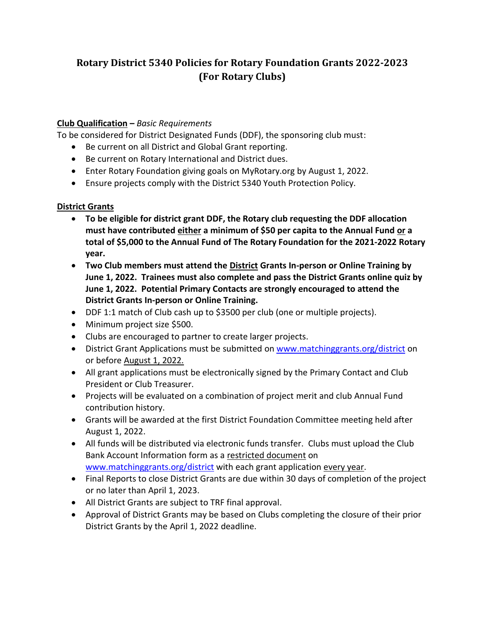## **Rotary District 5340 Policies for Rotary Foundation Grants 2022-2023 (For Rotary Clubs)**

## **Club Qualification –** *Basic Requirements*

To be considered for District Designated Funds (DDF), the sponsoring club must:

- Be current on all District and Global Grant reporting.
- Be current on Rotary International and District dues.
- Enter Rotary Foundation giving goals on MyRotary.org by August 1, 2022.
- Ensure projects comply with the District 5340 Youth Protection Policy.

## **District Grants**

- **To be eligible for district grant DDF, the Rotary club requesting the DDF allocation must have contributed either a minimum of \$50 per capita to the Annual Fund or a total of \$5,000 to the Annual Fund of The Rotary Foundation for the 2021-2022 Rotary year.**
- **Two Club members must attend the District Grants In-person or Online Training by June 1, 2022. Trainees must also complete and pass the District Grants online quiz by June 1, 2022. Potential Primary Contacts are strongly encouraged to attend the District Grants In-person or Online Training.**
- DDF 1:1 match of Club cash up to \$3500 per club (one or multiple projects).
- Minimum project size \$500.
- Clubs are encouraged to partner to create larger projects.
- District Grant Applications must be submitted on [www.matchinggrants.org/district](file:///C:/Users/Janice/AppData/Local/Microsoft/Windows/INetCache/wcarlson/AppData/Local/Microsoft/Windows/Downloads/www.matchinggrants.org/district) on or before August 1, 2022.
- All grant applications must be electronically signed by the Primary Contact and Club President or Club Treasurer.
- Projects will be evaluated on a combination of project merit and club Annual Fund contribution history.
- Grants will be awarded at the first District Foundation Committee meeting held after August 1, 2022.
- All funds will be distributed via electronic funds transfer. Clubs must upload the Club Bank Account Information form as a restricted document on [www.matchinggrants.org/district](file:///C:/Users/Janice/AppData/Local/Microsoft/Windows/INetCache/wcarlson/AppData/Local/Microsoft/Windows/Downloads/www.matchinggrants.org/district) with each grant application every year.
- Final Reports to close District Grants are due within 30 days of completion of the project or no later than April 1, 2023.
- All District Grants are subject to TRF final approval.
- Approval of District Grants may be based on Clubs completing the closure of their prior District Grants by the April 1, 2022 deadline.